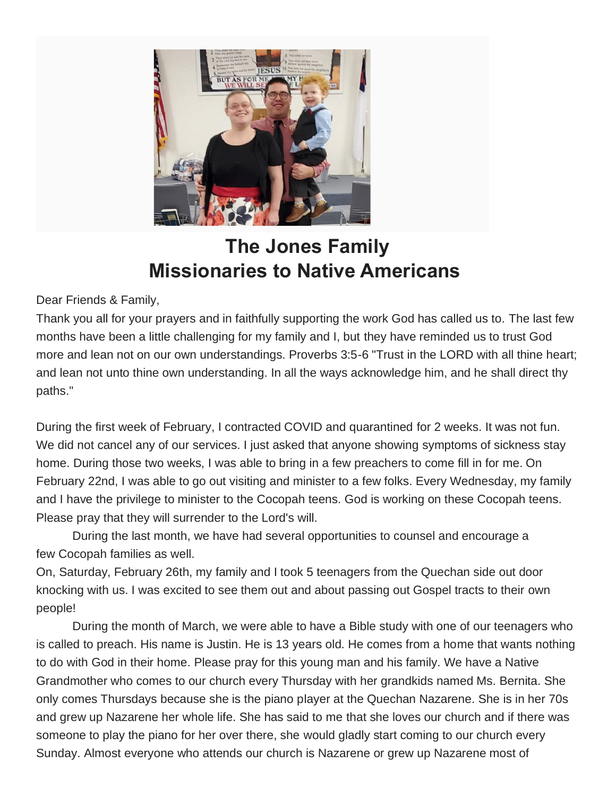

## **The Jones Family Missionaries to Native Americans**

Dear Friends & Family,

Thank you all for your prayers and in faithfully supporting the work God has called us to. The last few months have been a little challenging for my family and I, but they have reminded us to trust God more and lean not on our own understandings. Proverbs 3:5-6 "Trust in the LORD with all thine heart; and lean not unto thine own understanding. In all the ways acknowledge him, and he shall direct thy paths."

During the first week of February, I contracted COVID and quarantined for 2 weeks. It was not fun. We did not cancel any of our services. I just asked that anyone showing symptoms of sickness stay home. During those two weeks, I was able to bring in a few preachers to come fill in for me. On February 22nd, I was able to go out visiting and minister to a few folks. Every Wednesday, my family and I have the privilege to minister to the Cocopah teens. God is working on these Cocopah teens. Please pray that they will surrender to the Lord's will.

During the last month, we have had several opportunities to counsel and encourage a few Cocopah families as well.

On, Saturday, February 26th, my family and I took 5 teenagers from the Quechan side out door knocking with us. I was excited to see them out and about passing out Gospel tracts to their own people!

During the month of March, we were able to have a Bible study with one of our teenagers who is called to preach. His name is Justin. He is 13 years old. He comes from a home that wants nothing to do with God in their home. Please pray for this young man and his family. We have a Native Grandmother who comes to our church every Thursday with her grandkids named Ms. Bernita. She only comes Thursdays because she is the piano player at the Quechan Nazarene. She is in her 70s and grew up Nazarene her whole life. She has said to me that she loves our church and if there was someone to play the piano for her over there, she would gladly start coming to our church every Sunday. Almost everyone who attends our church is Nazarene or grew up Nazarene most of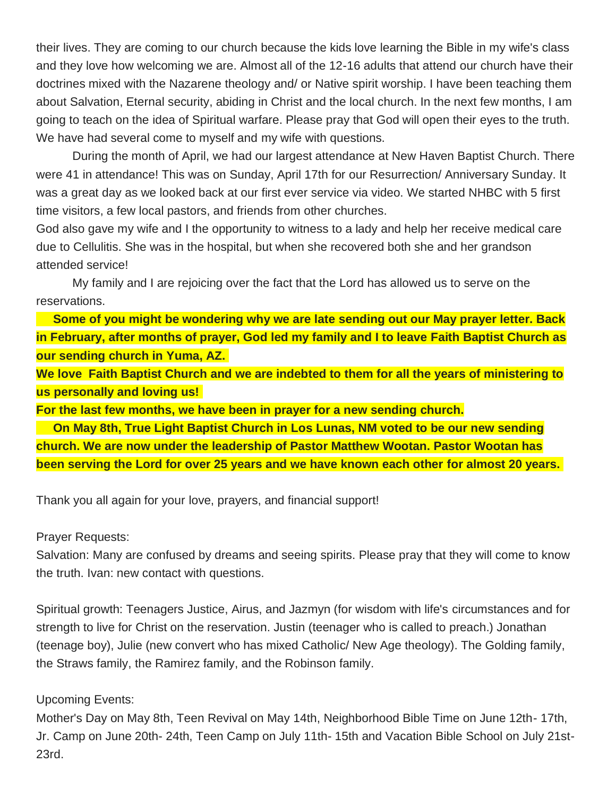their lives. They are coming to our church because the kids love learning the Bible in my wife's class and they love how welcoming we are. Almost all of the 12-16 adults that attend our church have their doctrines mixed with the Nazarene theology and/ or Native spirit worship. I have been teaching them about Salvation, Eternal security, abiding in Christ and the local church. In the next few months, I am going to teach on the idea of Spiritual warfare. Please pray that God will open their eyes to the truth. We have had several come to myself and my wife with questions.

During the month of April, we had our largest attendance at New Haven Baptist Church. There were 41 in attendance! This was on Sunday, April 17th for our Resurrection/ Anniversary Sunday. It was a great day as we looked back at our first ever service via video. We started NHBC with 5 first time visitors, a few local pastors, and friends from other churches.

God also gave my wife and I the opportunity to witness to a lady and help her receive medical care due to Cellulitis. She was in the hospital, but when she recovered both she and her grandson attended service!

My family and I are rejoicing over the fact that the Lord has allowed us to serve on the reservations.

**Some of you might be wondering why we are late sending out our May prayer letter. Back in February, after months of prayer, God led my family and I to leave Faith Baptist Church as our sending church in Yuma, AZ.**

**We love Faith Baptist Church and we are indebted to them for all the years of ministering to us personally and loving us!**

**For the last few months, we have been in prayer for a new sending church.**

**On May 8th, True Light Baptist Church in Los Lunas, NM voted to be our new sending church. We are now under the leadership of Pastor Matthew Wootan. Pastor Wootan has been serving the Lord for over 25 years and we have known each other for almost 20 years.**

Thank you all again for your love, prayers, and financial support!

Prayer Requests:

Salvation: Many are confused by dreams and seeing spirits. Please pray that they will come to know the truth. Ivan: new contact with questions.

Spiritual growth: Teenagers Justice, Airus, and Jazmyn (for wisdom with life's circumstances and for strength to live for Christ on the reservation. Justin (teenager who is called to preach.) Jonathan (teenage boy), Julie (new convert who has mixed Catholic/ New Age theology). The Golding family, the Straws family, the Ramirez family, and the Robinson family.

Upcoming Events:

Mother's Day on May 8th, Teen Revival on May 14th, Neighborhood Bible Time on June 12th- 17th, Jr. Camp on June 20th- 24th, Teen Camp on July 11th- 15th and Vacation Bible School on July 21st-23rd.